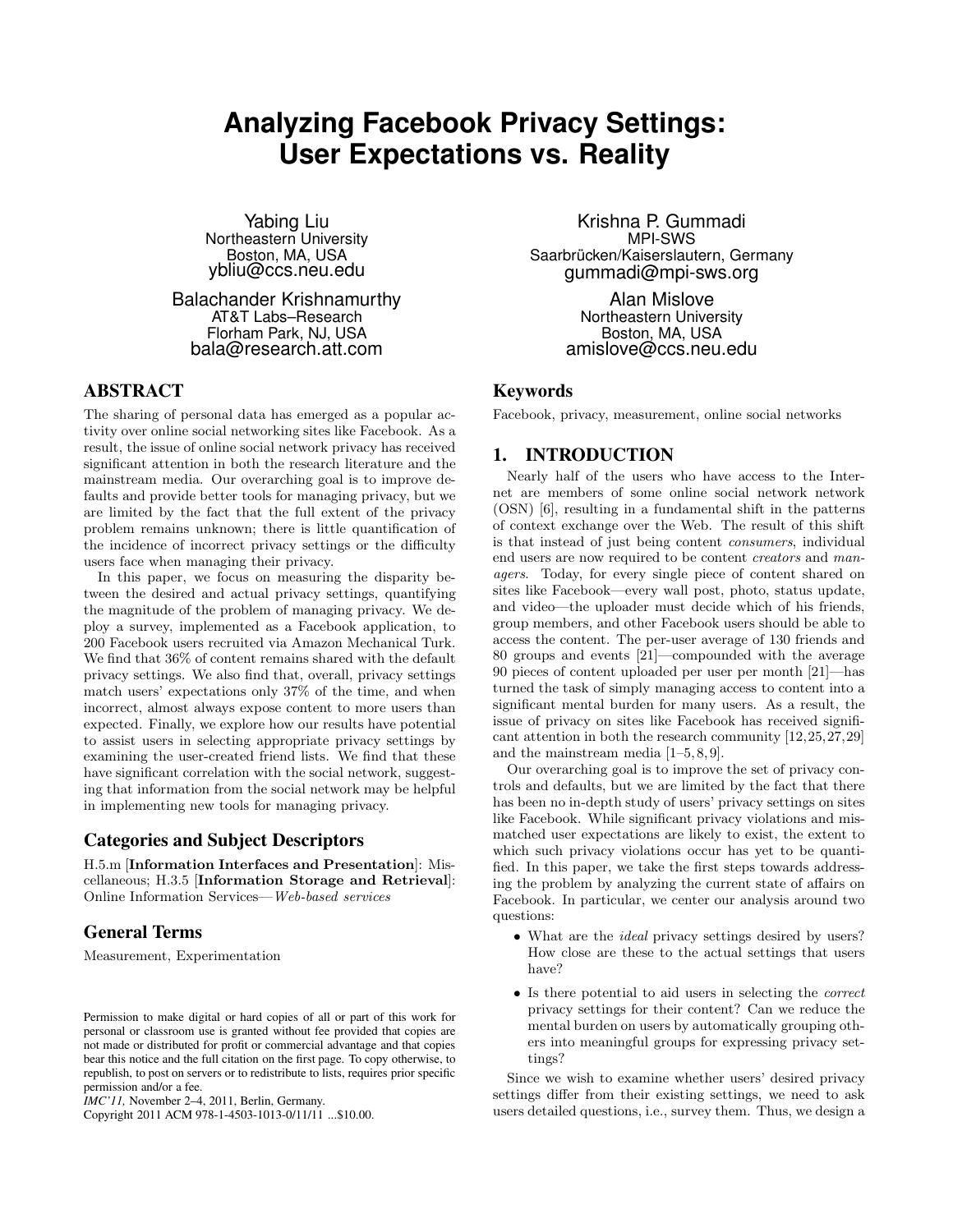# **Analyzing Facebook Privacy Settings: User Expectations vs. Reality**

Yabing Liu Northeastern University Boston, MA, USA ybliu@ccs.neu.edu

Balachander Krishnamurthy AT&T Labs–Research Florham Park, NJ, USA bala@research.att.com

# **ABSTRACT**

The sharing of personal data has emerged as a popular activity over online social networking sites like Facebook. As a result, the issue of online social network privacy has received significant attention in both the research literature and the mainstream media. Our overarching goal is to improve defaults and provide better tools for managing privacy, but we are limited by the fact that the full extent of the privacy problem remains unknown; there is little quantification of the incidence of incorrect privacy settings or the difficulty users face when managing their privacy.

In this paper, we focus on measuring the disparity between the desired and actual privacy settings, quantifying the magnitude of the problem of managing privacy. We deploy a survey, implemented as a Facebook application, to 200 Facebook users recruited via Amazon Mechanical Turk. We find that 36% of content remains shared with the default privacy settings. We also find that, overall, privacy settings match users' expectations only 37% of the time, and when incorrect, almost always expose content to more users than expected. Finally, we explore how our results have potential to assist users in selecting appropriate privacy settings by examining the user-created friend lists. We find that these have significant correlation with the social network, suggesting that information from the social network may be helpful in implementing new tools for managing privacy.

# **Categories and Subject Descriptors**

H.5.m [Information Interfaces and Presentation]: Miscellaneous; H.3.5 [Information Storage and Retrieval]: Online Information Services—Web-based services

# **General Terms**

Measurement, Experimentation

Permission to make digital or hard copies of all or part of this work for personal or classroom use is granted without fee provided that copies are not made or distributed for profit or commercial advantage and that copies bear this notice and the full citation on the first page. To copy otherwise, to republish, to post on servers or to redistribute to lists, requires prior specific permission and/or a fee.

*IMC'11,* November 2–4, 2011, Berlin, Germany.

Copyright 2011 ACM 978-1-4503-1013-0/11/11 ...\$10.00.

Krishna P. Gummadi MPI-SWS Saarbrücken/Kaiserslautern, Germany gummadi@mpi-sws.org

> Alan Mislove Northeastern University Boston, MA, USA amislove@ccs.neu.edu

# **Keywords**

Facebook, privacy, measurement, online social networks

# **1. INTRODUCTION**

Nearly half of the users who have access to the Internet are members of some online social network network (OSN) [6], resulting in a fundamental shift in the patterns of context exchange over the Web. The result of this shift is that instead of just being content consumers, individual end users are now required to be content creators and managers. Today, for every single piece of content shared on sites like Facebook—every wall post, photo, status update, and video—the uploader must decide which of his friends, group members, and other Facebook users should be able to access the content. The per-user average of 130 friends and 80 groups and events [21]—compounded with the average 90 pieces of content uploaded per user per month [21]—has turned the task of simply managing access to content into a significant mental burden for many users. As a result, the issue of privacy on sites like Facebook has received significant attention in both the research community [12,25,27,29] and the mainstream media  $[1-5, 8, 9]$ .

Our overarching goal is to improve the set of privacy controls and defaults, but we are limited by the fact that there has been no in-depth study of users' privacy settings on sites like Facebook. While significant privacy violations and mismatched user expectations are likely to exist, the extent to which such privacy violations occur has yet to be quantified. In this paper, we take the first steps towards addressing the problem by analyzing the current state of affairs on Facebook. In particular, we center our analysis around two questions:

- What are the *ideal* privacy settings desired by users? How close are these to the actual settings that users have?
- Is there potential to aid users in selecting the correct privacy settings for their content? Can we reduce the mental burden on users by automatically grouping others into meaningful groups for expressing privacy settings?

Since we wish to examine whether users' desired privacy settings differ from their existing settings, we need to ask users detailed questions, i.e., survey them. Thus, we design a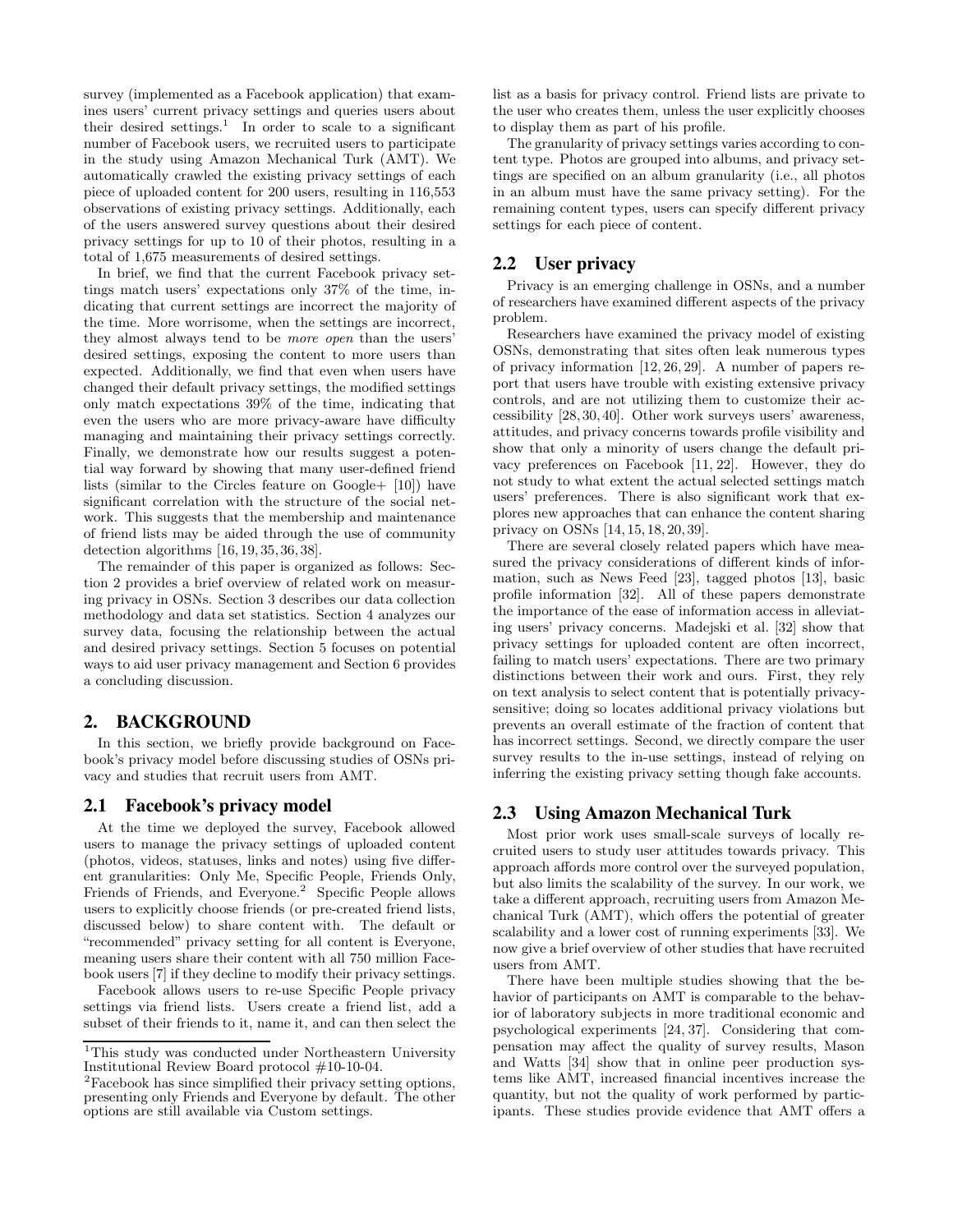survey (implemented as a Facebook application) that examines users' current privacy settings and queries users about their desired settings.<sup>1</sup> In order to scale to a significant number of Facebook users, we recruited users to participate in the study using Amazon Mechanical Turk (AMT). We automatically crawled the existing privacy settings of each piece of uploaded content for 200 users, resulting in 116,553 observations of existing privacy settings. Additionally, each of the users answered survey questions about their desired privacy settings for up to 10 of their photos, resulting in a total of 1,675 measurements of desired settings.

In brief, we find that the current Facebook privacy settings match users' expectations only 37% of the time, indicating that current settings are incorrect the majority of the time. More worrisome, when the settings are incorrect, they almost always tend to be more open than the users' desired settings, exposing the content to more users than expected. Additionally, we find that even when users have changed their default privacy settings, the modified settings only match expectations 39% of the time, indicating that even the users who are more privacy-aware have difficulty managing and maintaining their privacy settings correctly. Finally, we demonstrate how our results suggest a potential way forward by showing that many user-defined friend lists (similar to the Circles feature on Google+ [10]) have significant correlation with the structure of the social network. This suggests that the membership and maintenance of friend lists may be aided through the use of community detection algorithms [16, 19, 35, 36, 38].

The remainder of this paper is organized as follows: Section 2 provides a brief overview of related work on measuring privacy in OSNs. Section 3 describes our data collection methodology and data set statistics. Section 4 analyzes our survey data, focusing the relationship between the actual and desired privacy settings. Section 5 focuses on potential ways to aid user privacy management and Section 6 provides a concluding discussion.

## **2. BACKGROUND**

In this section, we briefly provide background on Facebook's privacy model before discussing studies of OSNs privacy and studies that recruit users from AMT.

#### **2.1 Facebook's privacy model**

At the time we deployed the survey, Facebook allowed users to manage the privacy settings of uploaded content (photos, videos, statuses, links and notes) using five different granularities: Only Me, Specific People, Friends Only, Friends of Friends, and Everyone.<sup>2</sup> Specific People allows users to explicitly choose friends (or pre-created friend lists, discussed below) to share content with. The default or "recommended" privacy setting for all content is Everyone, meaning users share their content with all 750 million Facebook users [7] if they decline to modify their privacy settings.

Facebook allows users to re-use Specific People privacy settings via friend lists. Users create a friend list, add a subset of their friends to it, name it, and can then select the

list as a basis for privacy control. Friend lists are private to the user who creates them, unless the user explicitly chooses to display them as part of his profile.

The granularity of privacy settings varies according to content type. Photos are grouped into albums, and privacy settings are specified on an album granularity (i.e., all photos in an album must have the same privacy setting). For the remaining content types, users can specify different privacy settings for each piece of content.

## **2.2 User privacy**

Privacy is an emerging challenge in OSNs, and a number of researchers have examined different aspects of the privacy problem.

Researchers have examined the privacy model of existing OSNs, demonstrating that sites often leak numerous types of privacy information [12, 26, 29]. A number of papers report that users have trouble with existing extensive privacy controls, and are not utilizing them to customize their accessibility [28, 30, 40]. Other work surveys users' awareness, attitudes, and privacy concerns towards profile visibility and show that only a minority of users change the default privacy preferences on Facebook [11, 22]. However, they do not study to what extent the actual selected settings match users' preferences. There is also significant work that explores new approaches that can enhance the content sharing privacy on OSNs [14, 15, 18, 20, 39].

There are several closely related papers which have measured the privacy considerations of different kinds of information, such as News Feed [23], tagged photos [13], basic profile information [32]. All of these papers demonstrate the importance of the ease of information access in alleviating users' privacy concerns. Madejski et al. [32] show that privacy settings for uploaded content are often incorrect, failing to match users' expectations. There are two primary distinctions between their work and ours. First, they rely on text analysis to select content that is potentially privacysensitive; doing so locates additional privacy violations but prevents an overall estimate of the fraction of content that has incorrect settings. Second, we directly compare the user survey results to the in-use settings, instead of relying on inferring the existing privacy setting though fake accounts.

# **2.3 Using Amazon Mechanical Turk**

Most prior work uses small-scale surveys of locally recruited users to study user attitudes towards privacy. This approach affords more control over the surveyed population, but also limits the scalability of the survey. In our work, we take a different approach, recruiting users from Amazon Mechanical Turk (AMT), which offers the potential of greater scalability and a lower cost of running experiments [33]. We now give a brief overview of other studies that have recruited users from AMT.

There have been multiple studies showing that the behavior of participants on AMT is comparable to the behavior of laboratory subjects in more traditional economic and psychological experiments [24, 37]. Considering that compensation may affect the quality of survey results, Mason and Watts [34] show that in online peer production systems like AMT, increased financial incentives increase the quantity, but not the quality of work performed by participants. These studies provide evidence that AMT offers a

<sup>1</sup>This study was conducted under Northeastern University Institutional Review Board protocol #10-10-04.

 $\mathrm{^{2}F}$  acebook has since simplified their privacy setting options, presenting only Friends and Everyone by default. The other options are still available via Custom settings.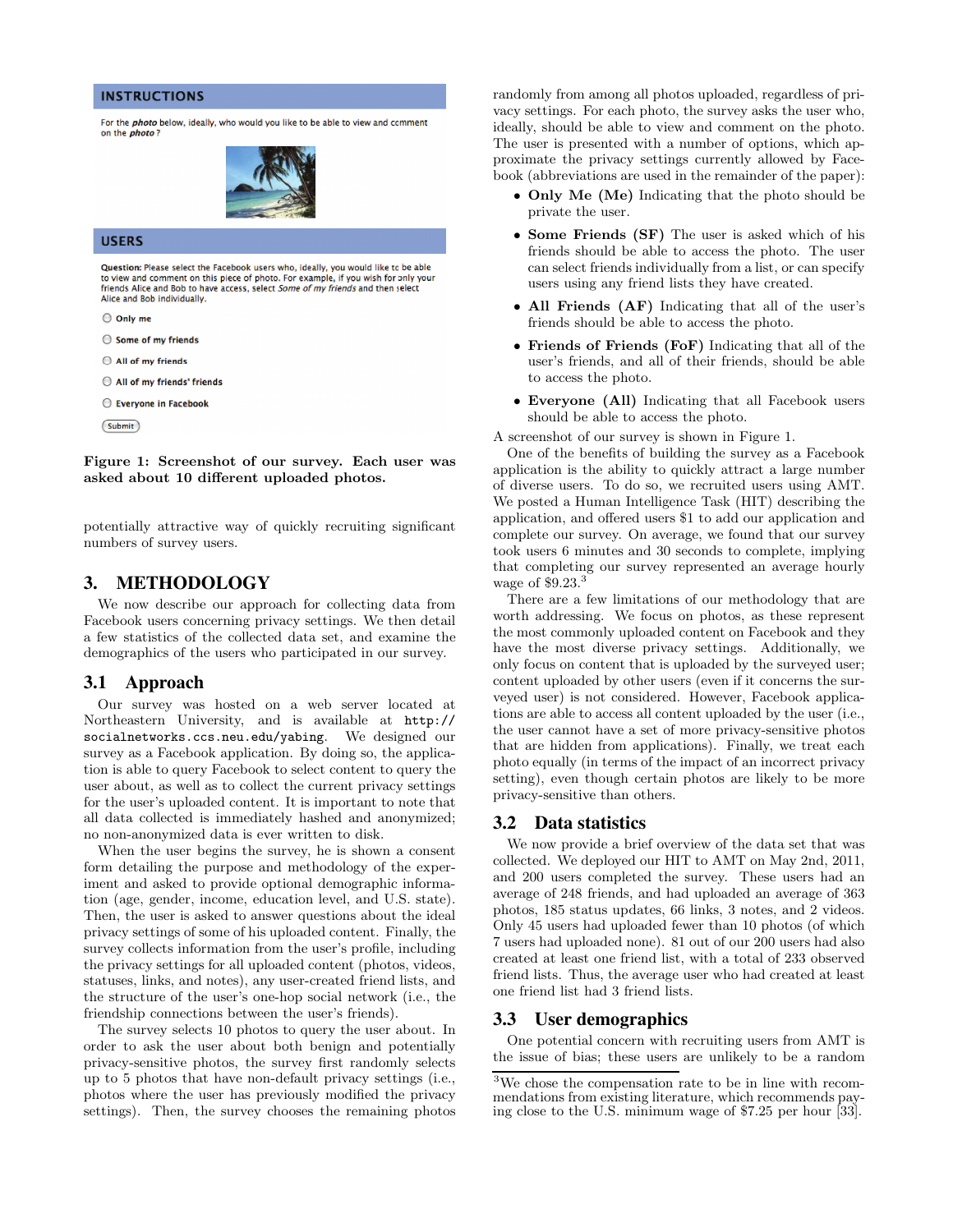#### **INSTRUCTIONS**

For the *photo* below, ideally, who would you like to be able to view and comment on the *photo*?



## **USERS**

Question: Please select the Facebook users who, ideally, you would like to be able to view and comment on this piece of photo. For example, if you wish for only your friends Alice and Bob to have access, select Some of my friends and then select Alice and Bob individually.

- $\bigcirc$  Only me
- Some of my friends
- All of my friends
- All of my friends' friends
- Everyone in Facebool
- (Submit)

Figure 1: Screenshot of our survey. Each user was asked about 10 different uploaded photos.

potentially attractive way of quickly recruiting significant numbers of survey users.

# **3. METHODOLOGY**

We now describe our approach for collecting data from Facebook users concerning privacy settings. We then detail a few statistics of the collected data set, and examine the demographics of the users who participated in our survey.

# **3.1 Approach**

Our survey was hosted on a web server located at Northeastern University, and is available at http:// socialnetworks.ccs.neu.edu/yabing. We designed our survey as a Facebook application. By doing so, the application is able to query Facebook to select content to query the user about, as well as to collect the current privacy settings for the user's uploaded content. It is important to note that all data collected is immediately hashed and anonymized; no non-anonymized data is ever written to disk.

When the user begins the survey, he is shown a consent form detailing the purpose and methodology of the experiment and asked to provide optional demographic information (age, gender, income, education level, and U.S. state). Then, the user is asked to answer questions about the ideal privacy settings of some of his uploaded content. Finally, the survey collects information from the user's profile, including the privacy settings for all uploaded content (photos, videos, statuses, links, and notes), any user-created friend lists, and the structure of the user's one-hop social network (i.e., the friendship connections between the user's friends).

The survey selects 10 photos to query the user about. In order to ask the user about both benign and potentially privacy-sensitive photos, the survey first randomly selects up to 5 photos that have non-default privacy settings (i.e., photos where the user has previously modified the privacy settings). Then, the survey chooses the remaining photos

randomly from among all photos uploaded, regardless of privacy settings. For each photo, the survey asks the user who, ideally, should be able to view and comment on the photo. The user is presented with a number of options, which approximate the privacy settings currently allowed by Facebook (abbreviations are used in the remainder of the paper):

- Only Me (Me) Indicating that the photo should be private the user.
- Some Friends (SF) The user is asked which of his friends should be able to access the photo. The user can select friends individually from a list, or can specify users using any friend lists they have created.
- All Friends (AF) Indicating that all of the user's friends should be able to access the photo.
- Friends of Friends (FoF) Indicating that all of the user's friends, and all of their friends, should be able to access the photo.
- Everyone (All) Indicating that all Facebook users should be able to access the photo.

A screenshot of our survey is shown in Figure 1.

One of the benefits of building the survey as a Facebook application is the ability to quickly attract a large number of diverse users. To do so, we recruited users using AMT. We posted a Human Intelligence Task (HIT) describing the application, and offered users \$1 to add our application and complete our survey. On average, we found that our survey took users 6 minutes and 30 seconds to complete, implying that completing our survey represented an average hourly wage of \$9.23.<sup>3</sup>

There are a few limitations of our methodology that are worth addressing. We focus on photos, as these represent the most commonly uploaded content on Facebook and they have the most diverse privacy settings. Additionally, we only focus on content that is uploaded by the surveyed user; content uploaded by other users (even if it concerns the surveyed user) is not considered. However, Facebook applications are able to access all content uploaded by the user (i.e., the user cannot have a set of more privacy-sensitive photos that are hidden from applications). Finally, we treat each photo equally (in terms of the impact of an incorrect privacy setting), even though certain photos are likely to be more privacy-sensitive than others.

#### **3.2 Data statistics**

We now provide a brief overview of the data set that was collected. We deployed our HIT to AMT on May 2nd, 2011, and 200 users completed the survey. These users had an average of 248 friends, and had uploaded an average of 363 photos, 185 status updates, 66 links, 3 notes, and 2 videos. Only 45 users had uploaded fewer than 10 photos (of which 7 users had uploaded none). 81 out of our 200 users had also created at least one friend list, with a total of 233 observed friend lists. Thus, the average user who had created at least one friend list had 3 friend lists.

#### **3.3 User demographics**

One potential concern with recruiting users from AMT is the issue of bias; these users are unlikely to be a random

<sup>3</sup>We chose the compensation rate to be in line with recommendations from existing literature, which recommends paying close to the U.S. minimum wage of \$7.25 per hour [33].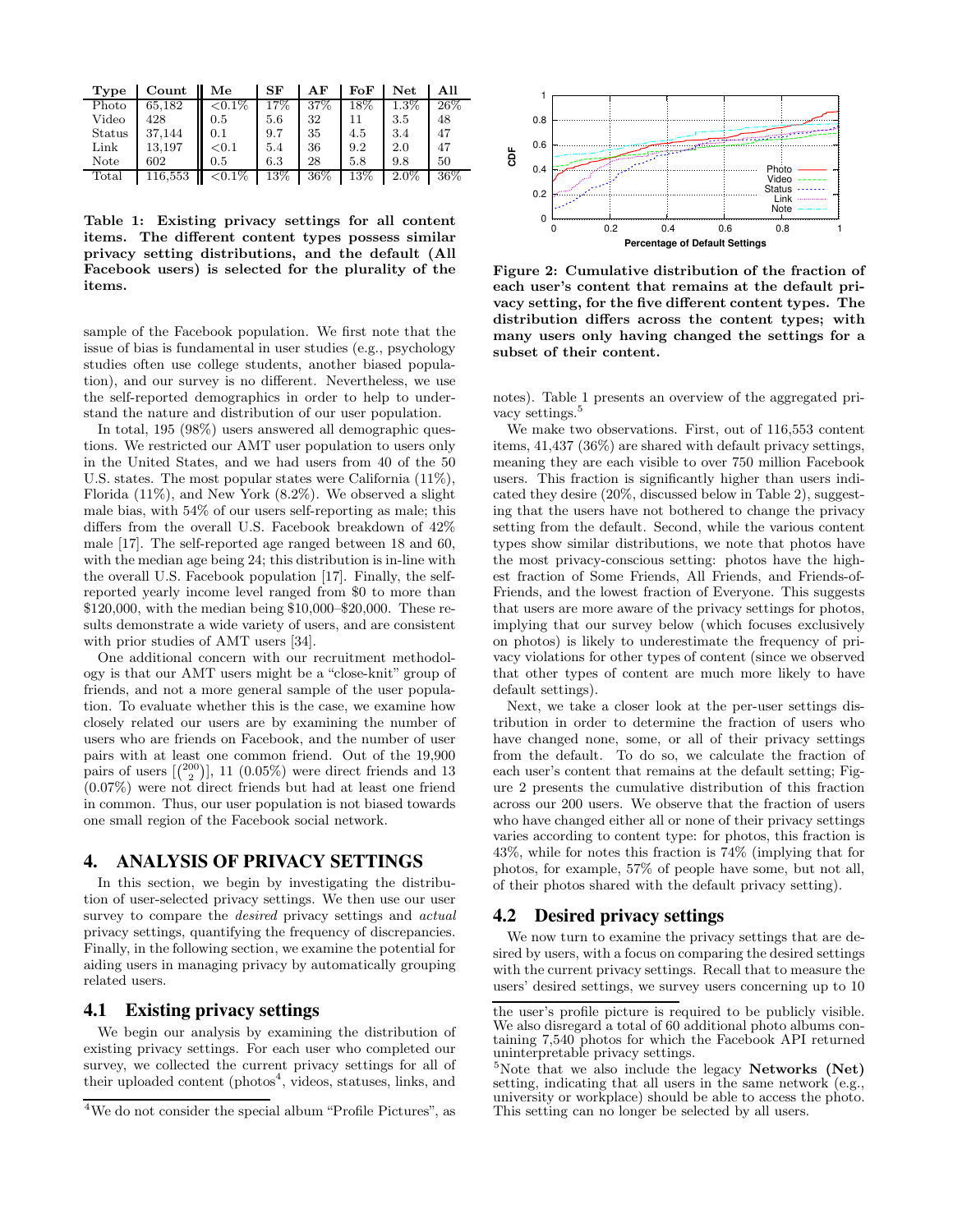| Type   | Count   Me                                          |                       | $\rm{SF}$   | ${\bf AF}$ | ${\bf FoF}$ | $\blacksquare$ Net | All    |
|--------|-----------------------------------------------------|-----------------------|-------------|------------|-------------|--------------------|--------|
| Photo  | 65,182                                              | $\blacksquare$ <0.1\% | $17\%$ 37\% |            | $18\%$ 1.3% |                    | $26\%$ |
| Video  | 428                                                 | $\blacksquare$ 0.5    | 5.6         | 32         |             | - 3.5              | 48     |
| Status | 37,144                                              | $\blacksquare$ 0.1    | 9.7         | 35         | 4.5         | 3.4                | 47     |
| Link   | 13,197                                              | ${<}0.1$              | 5.4         | -36        | 9.2         | 2.0                | 47     |
| Note   | 602                                                 | 0.5                   | 6.3         | 28         | 5.8         | 9.8                | 50     |
| Total  | $116.553$ $\leq 0.1\%$ $13\%$ $36\%$ $13\%$ $2.0\%$ |                       |             |            |             |                    | $36\%$ |

Table 1: Existing privacy settings for all content items. The different content types possess similar privacy setting distributions, and the default (All Facebook users) is selected for the plurality of the items.

sample of the Facebook population. We first note that the issue of bias is fundamental in user studies (e.g., psychology studies often use college students, another biased population), and our survey is no different. Nevertheless, we use the self-reported demographics in order to help to understand the nature and distribution of our user population.

In total, 195 (98%) users answered all demographic questions. We restricted our AMT user population to users only in the United States, and we had users from 40 of the 50 U.S. states. The most popular states were California (11%), Florida (11%), and New York (8.2%). We observed a slight male bias, with 54% of our users self-reporting as male; this differs from the overall U.S. Facebook breakdown of 42% male [17]. The self-reported age ranged between 18 and 60, with the median age being 24; this distribution is in-line with the overall U.S. Facebook population [17]. Finally, the selfreported yearly income level ranged from \$0 to more than \$120,000, with the median being \$10,000–\$20,000. These results demonstrate a wide variety of users, and are consistent with prior studies of AMT users [34].

One additional concern with our recruitment methodology is that our AMT users might be a "close-knit" group of friends, and not a more general sample of the user population. To evaluate whether this is the case, we examine how closely related our users are by examining the number of users who are friends on Facebook, and the number of user pairs with at least one common friend. Out of the 19,900 pairs of users  $\left[\binom{200}{2}\right]$ , 11 (0.05%) were direct friends and 13 (0.07%) were not direct friends but had at least one friend in common. Thus, our user population is not biased towards one small region of the Facebook social network.

# **4. ANALYSIS OF PRIVACY SETTINGS**

In this section, we begin by investigating the distribution of user-selected privacy settings. We then use our user survey to compare the *desired* privacy settings and *actual* privacy settings, quantifying the frequency of discrepancies. Finally, in the following section, we examine the potential for aiding users in managing privacy by automatically grouping related users.

#### **4.1 Existing privacy settings**

We begin our analysis by examining the distribution of existing privacy settings. For each user who completed our survey, we collected the current privacy settings for all of their uploaded content (photos<sup>4</sup>, videos, statuses, links, and



Figure 2: Cumulative distribution of the fraction of each user's content that remains at the default privacy setting, for the five different content types. The distribution differs across the content types; with many users only having changed the settings for a subset of their content.

notes). Table 1 presents an overview of the aggregated privacy settings.<sup>5</sup>

We make two observations. First, out of 116,553 content items, 41,437 (36%) are shared with default privacy settings, meaning they are each visible to over 750 million Facebook users. This fraction is significantly higher than users indicated they desire (20%, discussed below in Table 2), suggesting that the users have not bothered to change the privacy setting from the default. Second, while the various content types show similar distributions, we note that photos have the most privacy-conscious setting: photos have the highest fraction of Some Friends, All Friends, and Friends-of-Friends, and the lowest fraction of Everyone. This suggests that users are more aware of the privacy settings for photos, implying that our survey below (which focuses exclusively on photos) is likely to underestimate the frequency of privacy violations for other types of content (since we observed that other types of content are much more likely to have default settings).

Next, we take a closer look at the per-user settings distribution in order to determine the fraction of users who have changed none, some, or all of their privacy settings from the default. To do so, we calculate the fraction of each user's content that remains at the default setting; Figure 2 presents the cumulative distribution of this fraction across our 200 users. We observe that the fraction of users who have changed either all or none of their privacy settings varies according to content type: for photos, this fraction is 43%, while for notes this fraction is 74% (implying that for photos, for example, 57% of people have some, but not all, of their photos shared with the default privacy setting).

# **4.2 Desired privacy settings**

We now turn to examine the privacy settings that are desired by users, with a focus on comparing the desired settings with the current privacy settings. Recall that to measure the users' desired settings, we survey users concerning up to 10

<sup>4</sup>We do not consider the special album "Profile Pictures", as

the user's profile picture is required to be publicly visible. We also disregard a total of 60 additional photo albums containing 7,540 photos for which the Facebook API returned uninterpretable privacy settings.

 $5$ Note that we also include the legacy Networks (Net) setting, indicating that all users in the same network  $(e.g.,$ university or workplace) should be able to access the photo. This setting can no longer be selected by all users.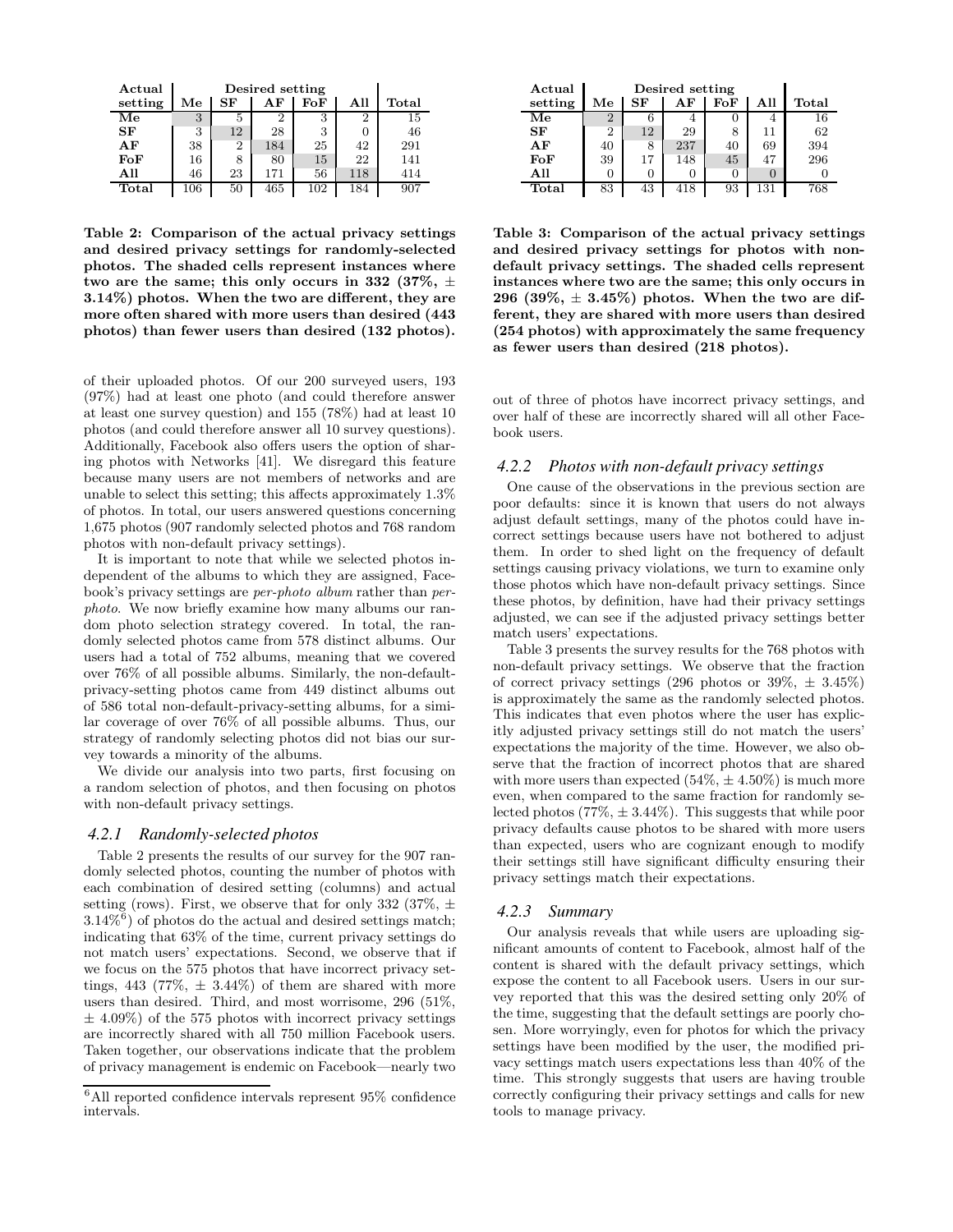| Actual      |     |           |     |     |     |       |
|-------------|-----|-----------|-----|-----|-----|-------|
| setting     | Me  | <b>SF</b> | ΑF  | FoF | All | Total |
| Me          | 3   | 5.        | 2   | 3   | 2   | 15    |
| SF          | 3   | 12        | 28  | 3   |     | 46    |
| AF          | 38  | 2         | 184 | 25  | 42  | 291   |
| ${\bf FoF}$ | 16  | 8         | 80  | 15  | 22  | 141   |
| All         | 46  | 23        | 171 | 56  | 118 | 414   |
| Total       | 106 | 50        | 465 | 102 | 184 |       |

Table 2: Comparison of the actual privacy settings and desired privacy settings for randomly-selected photos. The shaded cells represent instances where two are the same; this only occurs in 332 (37\%,  $\pm$ 3.14%) photos. When the two are different, they are more often shared with more users than desired (443 photos) than fewer users than desired (132 photos).

of their uploaded photos. Of our 200 surveyed users, 193 (97%) had at least one photo (and could therefore answer at least one survey question) and 155 (78%) had at least 10 photos (and could therefore answer all 10 survey questions). Additionally, Facebook also offers users the option of sharing photos with Networks [41]. We disregard this feature because many users are not members of networks and are unable to select this setting; this affects approximately 1.3% of photos. In total, our users answered questions concerning 1,675 photos (907 randomly selected photos and 768 random photos with non-default privacy settings).

It is important to note that while we selected photos independent of the albums to which they are assigned, Facebook's privacy settings are per-photo album rather than perphoto. We now briefly examine how many albums our random photo selection strategy covered. In total, the randomly selected photos came from 578 distinct albums. Our users had a total of 752 albums, meaning that we covered over 76% of all possible albums. Similarly, the non-defaultprivacy-setting photos came from 449 distinct albums out of 586 total non-default-privacy-setting albums, for a similar coverage of over 76% of all possible albums. Thus, our strategy of randomly selecting photos did not bias our survey towards a minority of the albums.

We divide our analysis into two parts, first focusing on a random selection of photos, and then focusing on photos with non-default privacy settings.

## *4.2.1 Randomly-selected photos*

Table 2 presents the results of our survey for the 907 randomly selected photos, counting the number of photos with each combination of desired setting (columns) and actual setting (rows). First, we observe that for only 332 (37\%,  $\pm$  $3.14\%$ <sup>6</sup>) of photos do the actual and desired settings match; indicating that 63% of the time, current privacy settings do not match users' expectations. Second, we observe that if we focus on the 575 photos that have incorrect privacy settings, 443 (77\%,  $\pm$  3.44\%) of them are shared with more users than desired. Third, and most worrisome, 296 (51%,  $\pm$  4.09%) of the 575 photos with incorrect privacy settings are incorrectly shared with all 750 million Facebook users. Taken together, our observations indicate that the problem of privacy management is endemic on Facebook—nearly two

| Actual    |                |    |     |           |     |       |
|-----------|----------------|----|-----|-----------|-----|-------|
| setting   | Me             | SF | ΑF  | $F$ o $F$ | All | Total |
| Me        | $\overline{2}$ |    |     |           |     | 16    |
| SF        | 2              | 12 | 29  |           | 11  | 62    |
| AF        | 40             | 8  | 237 | 40        | 69  | 394   |
| $F$ o $F$ | 39             | 17 | 148 | 45        | 47  | 296   |
| All       |                |    |     |           |     |       |
| Total     | 83             | 43 | 418 | 93        | 131 | 768   |

Table 3: Comparison of the actual privacy settings and desired privacy settings for photos with nondefault privacy settings. The shaded cells represent instances where two are the same; this only occurs in 296  $(39\%, \pm 3.45\%)$  photos. When the two are different, they are shared with more users than desired (254 photos) with approximately the same frequency as fewer users than desired (218 photos).

out of three of photos have incorrect privacy settings, and over half of these are incorrectly shared will all other Facebook users.

#### *4.2.2 Photos with non-default privacy settings*

One cause of the observations in the previous section are poor defaults: since it is known that users do not always adjust default settings, many of the photos could have incorrect settings because users have not bothered to adjust them. In order to shed light on the frequency of default settings causing privacy violations, we turn to examine only those photos which have non-default privacy settings. Since these photos, by definition, have had their privacy settings adjusted, we can see if the adjusted privacy settings better match users' expectations.

Table 3 presents the survey results for the 768 photos with non-default privacy settings. We observe that the fraction of correct privacy settings (296 photos or  $39\%$ ,  $\pm$  3.45%) is approximately the same as the randomly selected photos. This indicates that even photos where the user has explicitly adjusted privacy settings still do not match the users' expectations the majority of the time. However, we also observe that the fraction of incorrect photos that are shared with more users than expected  $(54\%, \pm 4.50\%)$  is much more even, when compared to the same fraction for randomly selected photos  $(77\%, \pm 3.44\%)$ . This suggests that while poor privacy defaults cause photos to be shared with more users than expected, users who are cognizant enough to modify their settings still have significant difficulty ensuring their privacy settings match their expectations.

#### *4.2.3 Summary*

Our analysis reveals that while users are uploading significant amounts of content to Facebook, almost half of the content is shared with the default privacy settings, which expose the content to all Facebook users. Users in our survey reported that this was the desired setting only 20% of the time, suggesting that the default settings are poorly chosen. More worryingly, even for photos for which the privacy settings have been modified by the user, the modified privacy settings match users expectations less than 40% of the time. This strongly suggests that users are having trouble correctly configuring their privacy settings and calls for new tools to manage privacy.

 $^6\mathrm{All}$  reported confidence intervals represent  $95\%$  confidence intervals.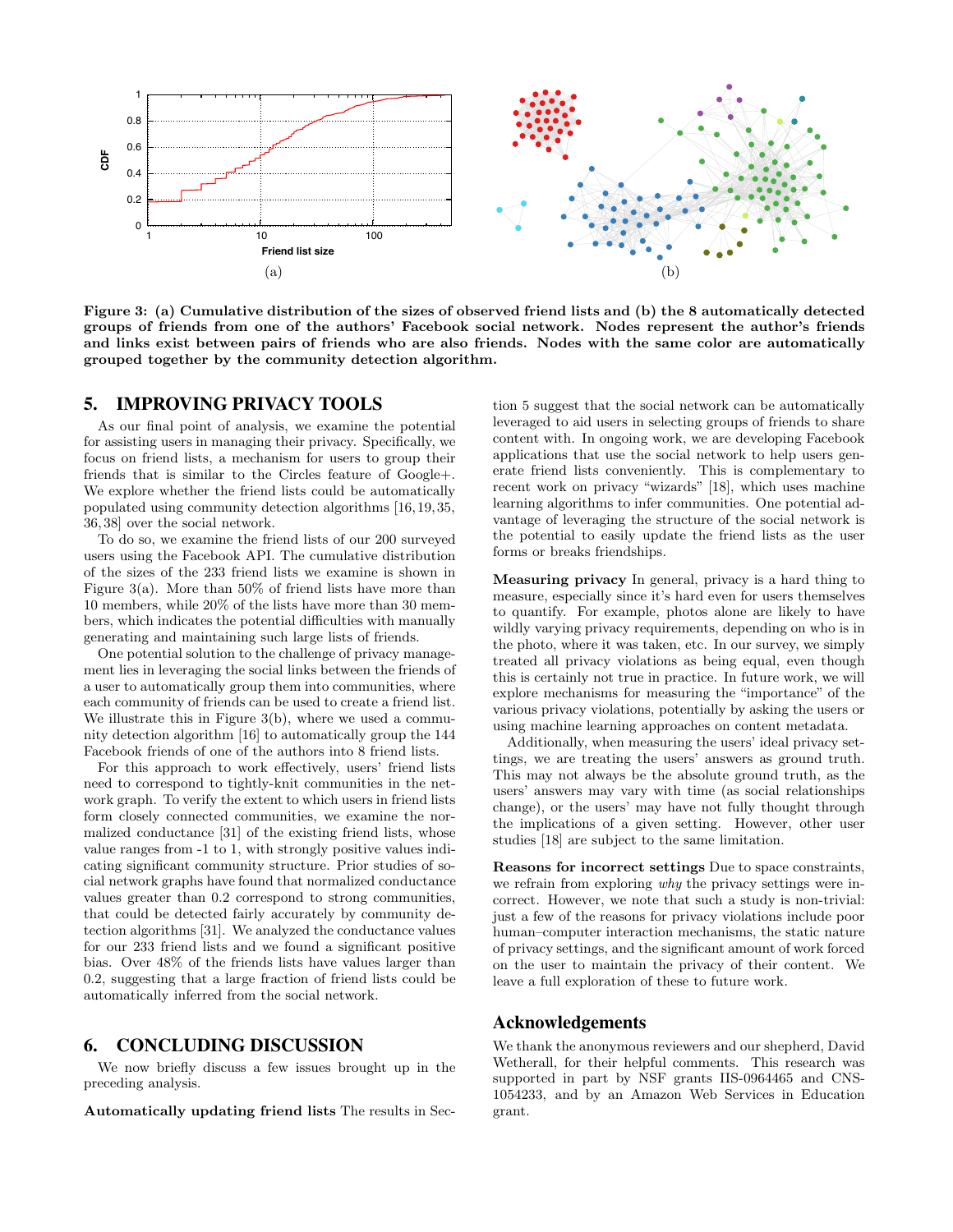

Figure 3: (a) Cumulative distribution of the sizes of observed friend lists and (b) the 8 automatically detected groups of friends from one of the authors' Facebook social network. Nodes represent the author's friends and links exist between pairs of friends who are also friends. Nodes with the same color are automatically grouped together by the community detection algorithm.

# **5. IMPROVING PRIVACY TOOLS**

As our final point of analysis, we examine the potential for assisting users in managing their privacy. Specifically, we focus on friend lists, a mechanism for users to group their friends that is similar to the Circles feature of Google+. We explore whether the friend lists could be automatically populated using community detection algorithms [16,19,35, 36, 38] over the social network.

To do so, we examine the friend lists of our 200 surveyed users using the Facebook API. The cumulative distribution of the sizes of the 233 friend lists we examine is shown in Figure 3(a). More than  $50\%$  of friend lists have more than 10 members, while 20% of the lists have more than 30 members, which indicates the potential difficulties with manually generating and maintaining such large lists of friends.

One potential solution to the challenge of privacy management lies in leveraging the social links between the friends of a user to automatically group them into communities, where each community of friends can be used to create a friend list. We illustrate this in Figure 3(b), where we used a community detection algorithm [16] to automatically group the 144 Facebook friends of one of the authors into 8 friend lists.

For this approach to work effectively, users' friend lists need to correspond to tightly-knit communities in the network graph. To verify the extent to which users in friend lists form closely connected communities, we examine the normalized conductance [31] of the existing friend lists, whose value ranges from -1 to 1, with strongly positive values indicating significant community structure. Prior studies of social network graphs have found that normalized conductance values greater than 0.2 correspond to strong communities, that could be detected fairly accurately by community detection algorithms [31]. We analyzed the conductance values for our 233 friend lists and we found a significant positive bias. Over 48% of the friends lists have values larger than 0.2, suggesting that a large fraction of friend lists could be automatically inferred from the social network.

## **6. CONCLUDING DISCUSSION**

We now briefly discuss a few issues brought up in the preceding analysis.

Automatically updating friend lists The results in Sec-

tion 5 suggest that the social network can be automatically leveraged to aid users in selecting groups of friends to share content with. In ongoing work, we are developing Facebook applications that use the social network to help users generate friend lists conveniently. This is complementary to recent work on privacy "wizards" [18], which uses machine learning algorithms to infer communities. One potential advantage of leveraging the structure of the social network is the potential to easily update the friend lists as the user forms or breaks friendships.

Measuring privacy In general, privacy is a hard thing to measure, especially since it's hard even for users themselves to quantify. For example, photos alone are likely to have wildly varying privacy requirements, depending on who is in the photo, where it was taken, etc. In our survey, we simply treated all privacy violations as being equal, even though this is certainly not true in practice. In future work, we will explore mechanisms for measuring the "importance" of the various privacy violations, potentially by asking the users or using machine learning approaches on content metadata.

Additionally, when measuring the users' ideal privacy settings, we are treating the users' answers as ground truth. This may not always be the absolute ground truth, as the users' answers may vary with time (as social relationships change), or the users' may have not fully thought through the implications of a given setting. However, other user studies [18] are subject to the same limitation.

Reasons for incorrect settings Due to space constraints, we refrain from exploring why the privacy settings were incorrect. However, we note that such a study is non-trivial: just a few of the reasons for privacy violations include poor human–computer interaction mechanisms, the static nature of privacy settings, and the significant amount of work forced on the user to maintain the privacy of their content. We leave a full exploration of these to future work.

## **Acknowledgements**

We thank the anonymous reviewers and our shepherd, David Wetherall, for their helpful comments. This research was supported in part by NSF grants IIS-0964465 and CNS-1054233, and by an Amazon Web Services in Education grant.